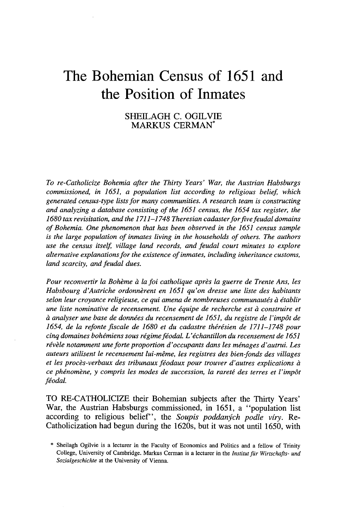# **The Bohemian Census of 1651 and the Position of Inmates**

## SHEILAGH C. OGILVIE MARKUS CERMAN\*

*To re-Catholicize Bohemia after the Thirty Years' War, the Austrian Habsburgs commissioned, in* 1651, *a population list according to religious belief, which generated census-type lists for many communities. A research team is constructing and analyzing a database consisting of the* 1651 *census, the* 1654 *tax register, the 1680 tax revisitation, and the* 1711-1748 *Theresian cadasterforfivefeudal domains of Bohemia. One phenomenon that has been observed in the* 1651 *census sample is the large population of inmates living in the households of others. The authors use the census itself, village land records, and feudal court minutes to explore alternative explanationsfor the existence ofinmates, including inheritance customs, land scarcity, and feudal dues.*

*Pour reconvertir la Bohème à la foi catholique après la guerre de Trente Ans, les Habsbourg d'Autriche ordonnèrent en* 1651 *qu'on dresse une liste des habitants selon leur croyance religieuse, ce qui amena de nombreuses communautés à établir une liste nominative de recensement. Une équipe de recherche est à construire et à analyser une base de données du recensement de* 1651, *du registre de l'impôt de 1654, de la refonte fiscale de 1680 et du cadastre thérésien de* 1711-1748 *pour cinq domaines bohémiens sous régime féodal. L'échantillon du recensement de 1651 révèle notamment une forte proportion d'occupants dans les ménages d'autrui. Les auteurs utilisent le recensement lui-même, les registres des bien-fonds des villages et les procès-verbaux des tribunaux féodaux pour trouver d'autres explications à ce phénomène, y compris les modes de succession, la rareté des terres et l'impôt féodal.*

TO RE-CATHOLICIZE their Bohemian subjects after the Thirty Years' War, the Austrian Habsburgs commissioned, in 1651, a "population list according to religious belief', the *Soupis poddanych podle viry.* Re-Catholicization had begun during the 1620s, but it was not until 1650, with

<sup>\*</sup> Sheilagh Ogilvie is a leeturer in the Faeulty of Economies and Polities and a fellow of Trinity College, University of Cambridge. Markus Cerman is a leeturer in the *Institut für Wirtschafts- und Sozialgeschichte* at the University of Vienna.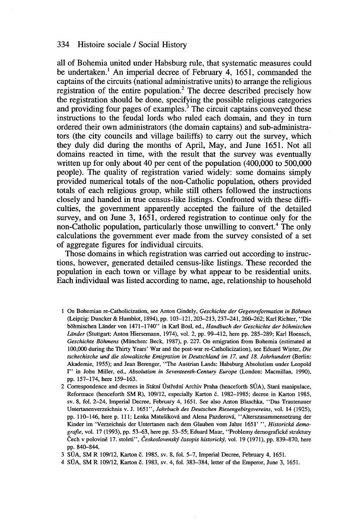all of Bohemia united under Habsburg rule, that systematic measures could be undertaken.<sup>1</sup> An imperial decree of February 4, 1651, commanded the captains of the circuits (national administrative units) to arrange the religious registration of the entire population.<sup>2</sup> The decree described precisely how the registration should be done, specifying the possible religious categories and providing four pages of examples.<sup>3</sup> The circuit captains conveyed these instructions to the feudal lords who ruled each domain, and they in tum ordered their own administrators (the domain captains) and sub-administrators (the city councils and village bailiffs) to carry out the survey, which they duly did during the months of April, May, and June 1651. Not aIl domains reacted in time, with the result that the survey was eventually written up for only about 40 per cent of the population  $(400,000 \text{ to } 500,000 \text{)}$ people). The quality of registration varied widely: sorne domains simply provided numerical totals of the non-Catholic population, others provided totals of each religious group, while still others followed the instructions closely and handed in true census-like listings. Confronted with these difficulties, the govemment apparently accepted the failure of the detailed survey, and on June 3, 1651, ordered registration to continue only for the non-Catholic population, particularly those unwilling to convert.<sup>4</sup> The only calculations the govemment ever made from the survey consisted of a set of aggregate figures for individual circuits.

Those domains in which registration was carried out according to instructions, however, generated detailed census-like listings. These recorded the population in each town or village by what appear to be residential units. Each individual was listed according to name, age, relationship to household

- 1 On Bohemian re-Catholicization, see Anton Gindely, *Geschichte der Gegenreformation in Bohmen* (Leipzig: Duncker & Humblot, 1894), pp. 103-121,203-213,237-241,260--262; Karl Richter, "Die bOhmischen Lander von 1471-1740" in Karl Bosl, ed., *Handbuch der Geschichte der bohmischen Lander* (Stuttgart: Anton Hiersemann, 1974), vol. 2, pp. 99-412, here pp. 285-289; Karl Hoensch, *Geschichte Bohmens* (München: Beek, 1987), p. 227. On emigration from Bohemia (estimated at 100,000 during the Thirty Years' War and the post-war re-Catholicization), see Eduard Winter, *Die tschechische und die slowakische Emigration in Deutschland im* 17. *und* 18. *Jahrhunden* (Berlin: Akademie, 1955); and Jean Berenger, "The Austrian Lands: Habsburg Absolutism under Leopold 1" in John Miller, ed., *Absolutism in Seventeenth-Century Europe* (London: Macmillan, 1990), pp. 157-174, here 159-163.
- 2 Correspondence and decrees in Státní Ústřední Archiv Praha (henceforth SÚA), Stará manipulace, Reformace (henceforth SM R), 109/12, especially Karton č. 1982--1985; decree in Karton 1985, sv. 8, fol. 2-24, Imperial Decree, February 4, 1651. See also Anton Blaschka, "Das Trautenauer Untertanenverzeichnis v. J. 1651", *Jahrbuch des Deutschen Riesengebirgsvereins,* vol. 14 (1925), pp. 110-146, here p. 111; Lenka Matušíková and Alena Pazderová, "Alterszusammensetzung der Kinder im 'Verzeichnis der Untertanen nach dem G1auben vom Jabre 1651' ", *Historickti demografie,* vol. 17 (1993), pp. 53-63, here pp. 53-55; Eduard Maur, "Problemy demografické struktury Cech v polovine 17. stoleti", *Ceskoslovenskj èasopis historickj,* vol. 19 (1971), pp. 839-870, here pp. 840-844.

3 SUA, SM R 109/12, Karton c. 1985, sv. 8, fol. 5-7, Imperial Decree, February 4, 1651.

4 SÚA, SM R 109/12, Karton č. 1983, sv. 4, fol. 383-384, letter of the Emperor, June 3, 1651.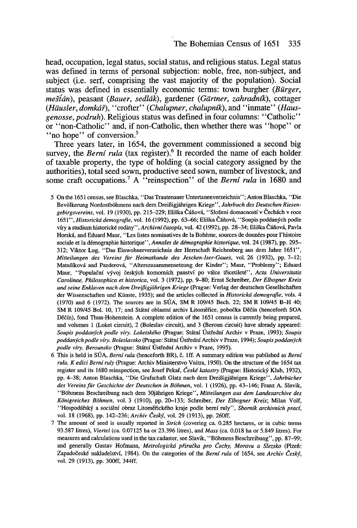head, occupation, legal status, social status, and religious status. Legal status was defined in terms of personal subjection: noble, free, non-subject, and subject (i.e. serf, comprising the vast majority of the population). Social status was defined in essentially economic terms: town burgher *(Bürger, mdidn),* peasant *(Bauer, sedldk)*, gardener *(Giirtner, zahradnik),* cottager *(Hiiusler, domkdf),* "crofter" *(Chalupner, chalupnik),* and' 'inrnate" *(Hausgenosse, podruh).* Religious status was defined in four colurnns: "Catholic" or "non-Catholic" and, if non-Catholic, then whether there was "hope" or "no hope" of conversion.<sup>5</sup>

Three years later, in 1654, the government commissioned a second big survey, the *Berní rula* (tax register).<sup>6</sup> It recorded the name of each holder of taxable property, the type of holding (a social category assigned by the authorities), total seed sown, productive seed sown, nurnber of livestock, and sorne craft occupations.? A "reinspection" of the *Berni rula* in 1680 and

5 On the 1651 census, see BIaschka, "Das Trautenauer Untertanenverzeichnis"; Anton BIaschka, "Die Bevölkerung Nordostböhmens nach dem Dreißigjährigen Kriege", Jahrbuch des Deutschen Riesen*gebirgsvereins,* vol. 19 (1930), pp. 215-229; Eliska Canova, "Slozeni domacnostf v Cechach v roce *1651", Historickd demografie,* vol. 16 (1992), pp. 63-66; Eliska Canova, "Soupis poddanych poole víry a studium historické rodiny", *Archivní časopis*, vol. 42 (1992), pp. 28–34; Eliška Čáňová, Pavla Horska, and Eduard Maur, "Les listes nominatives de la Bohème, sources de données pour l'histoire sociale et la démographie historique", *Annales de démographie historique,* vol. 24 (1987), pp. 295- 312; Viktor Lug, "Das Einwohnerverzeichnis der Herrschaft Reichenberg aus dem Jahre 1651", *Mitteilungen des Vereins für Heimatkunde des Jescken-lser-Gaues,* vol. 26 (1932), pp. 7-12; Matusfkova and pazderova, "Alterszusammensetzung der Kinder"; Maur, "Problemy"; Eduard Maur, "Populacnf vyvoj ceskych komornfch panstvf po valce ti'icetileté", *Acta Universitatis Carolinae, Philosophica et historica,* vol. 3 (1972), pp. 9-80; Ernst Schreiber, *Der Elbogner Kreis und seine Enklaven nach dem Dreij3igjiihrigen Kriege* (Prague: Verlag der deutschen Gesellschaften der Wissenschaften und Künste, 1935); and the articles collected in *Historickd demografie,* vols. 4 (1970) and 6 (1972). The sources are in SÛA, SM R 109/45 Bech. 22; SM R 109/45 B-H 40; SM R 109/45 Bol. 10, 17; and Státní oblastní archiv Litoměřice, pobočka Děčín (henceforth SOA Děčín), fond Thun-Hohenstein. A complete edition of the 1651 census is currently being prepared, and volumes 1 (Loket circuit), 2 (Boleslav circuit), and 3 (Beroun circuit) have already appeared: *Soupis poddanych podle viry. Loketského* (Prague: Statnf Ûsti'ednf Archiv v Praze, 1993); *Soupis poddanych podle viry. Boleslavsko* (Prague: Statnf Ûsti'ednf Archiv v Praze, 1994); *Soupis poddanych podle viry. Berounsko* (Prague: Statnf Ûsti'ednf Archiv v Praze, 1995).

- 6 This is held in SÛA, *Bemi rula* (henceforth BR), c. Iff. A summary edition was published as *Bemi rula. K edici Bemiruly* (Prague: Archiv Ministerstvo Vnitra, 1950). On the structure of the 1654 tax register and its 1680 reinspection, see Josef Pekai', *Ceské katastry* (Prague: Historicky Klub, 1932), pp. 4-38; Anton Blaschka, "Die Grafschaft Glatz nach dem DreiBigjahrigen Kriege", *Jahrbücher des Vereinsfür Geschichte der Deutschen in Bohmen,* vol. 1 (1926), pp. 43-146; Franz A. Slavik, "Bohmens Beschreibung nach dem 30jiihrigen Kriege", *Mitteilungen aus dem Landesarchive des Konigreiches Bohmen,* vol. 3 (1910), pp. 20-133; Schreiber, *Der Elbogner Kreis;* Milan Volf, "Hospodâi'sky a socialnf obraz Litomei'ického kraje podle bernf ruly", *Sbomik archivnich prad,* vol. 18 (1968), pp. 142-236; *Archiv CeskY,* vol. 29 (1913), pp. 260ff.
- 7 The amount of seed is usually reported in *Strich* (covering ca. 0.285 hectares, or in cubic terms 93.587 litres), *Viertel* (ca. 0.07125 ha or 23.396 litres), and *Mass* (ca. 0.018 ha or 5.849 litres). For measures and calculations used in the tax cadaster, see Slavik, "Bohmens Beschreibung", pp. 87-99; and generally Gustav Hofmann, *Metrologickd pfirucka pro Cechy, Moravu a Slezsko* (Plzen: Zapadočeské nakladelství, 1984). On the categories of the *Berní rula* of 1654, see Archiv Český, vol. 29 (1913), pp. 300ff, 344ff.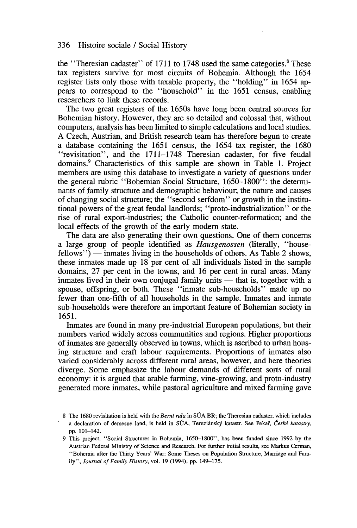the "Theresian cadaster" of  $1711$  to  $1748$  used the same categories.<sup>8</sup> These tax registers survive for most circuits of Bohemia. Although the 1654 register lists only those with taxable property, the "holding" in 1654 appears to correspond to the "household" in the 1651 census, enabling researchers to link these records.

The two great registers of the 1650s have long been central sources for Bohemian history. However, they are so detailed and colossal that, without computers, analysis has been limited to simple calculations and local studies. A Czech, Austrian, and British research team has therefore begun to create a database containing the 1651 census, the 1654 tax register, the 1680 "revisitation", and the 1711-1748 Theresian cadaster, for five feudal domains.<sup>9</sup> Characteristics of this sample are shown in Table 1. Project members are using this database to investigate a variety of questions under the general rubric "Bohemian Social Structure, 1650-1800": the determinants of family structure and demographic behaviour; the nature and causes of changing social structure; the "second serfdom" or growth in the institutional powers of the great feudal landlords; "proto-industrialization" or the rise of rural export-industries; the Catholic counter-reformation; and the local effects of the growth of the early modern state.

The data are also generating their own questions. One of them concerns a large group of people identified as *Hausgenossen* (literally, "house $fellows'$ )  $-$  inmates living in the households of others. As Table 2 shows, these inmates made up 18 per cent of all individuals listed in the sample domains, 27 per cent in the towns, and 16 per cent in rural areas. Many inmates lived in their own conjugal family units  $-$  that is, together with a spouse, offspring, or both. These "inmate sub-households" made up no fewer than one-fifth of all households in the sample. Inmates and inmate sub-households were therefore an important feature of Bohemian society in 1651.

Inmates are found in many pre-industrial European populations, but their numbers varied widely across communities and regions. Higher proportions of inmates are generally observed in towns, which is ascribed to urban housing structure and craft labour requirements. Proportions of inmates also varied considerably across different rural areas, however, and here theories diverge. Sorne emphasize the labour demands of different sorts of rural economy: it is argued that arable farming, vine-growing, and proto-industry generated more inmates, while pastoral agriculture and mixed farming gave

<sup>8</sup> The 1680 revisitation is held with the *Bemi ru/a* in SUA BR; the Theresian cadaster, which includes a declaration of demesne land, is held in SUA, Tereziansky katastr. See Pekai', *Ceské katastry,* pp. 101-142.

<sup>9</sup> This project, "Social Structures in Bohemia, 1650-1800", has been funded since 1992 by the Austrian Federal Ministry of Science and Research. For further initial results, see Markus Cerman, "Bohemia after the Thirty Years' War: Sorne Theses on Population Structure, Marriage and Family", *Journal of Farnily History,* vol. 19 (1994), pp. 149-175.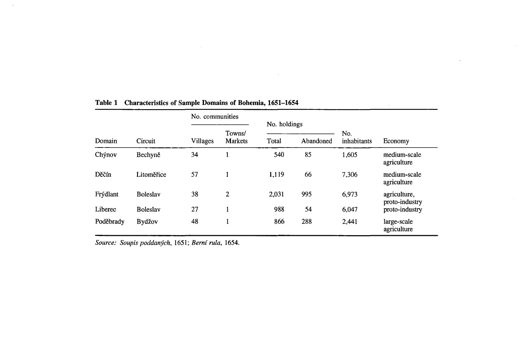|           | <b>Circuit</b>  | No. communities |                   |                                    |     |                    |                                |  |
|-----------|-----------------|-----------------|-------------------|------------------------------------|-----|--------------------|--------------------------------|--|
| Domain    |                 | Villages        | Towns/<br>Markets | No. holdings<br>Total<br>Abandoned |     | No.<br>inhabitants | Economy                        |  |
| Chýnov    | Bechyně         | 34              |                   | 540                                | 85  | 1,605              | medium-scale                   |  |
|           |                 |                 |                   |                                    |     |                    | agriculture                    |  |
| Děčín     | Litoměřice      | 57              |                   | 1.119                              | 66  | 7.306              | medium-scale<br>agriculture    |  |
| Frýdlant  | <b>Boleslav</b> | 38              | $\overline{2}$    | 2,031                              | 995 | 6.973              | agriculture,<br>proto-industry |  |
| Liberec   | <b>Boleslav</b> | 27              |                   | 988                                | 54  | 6,047              | proto-industry                 |  |
| Poděbrady | Bydžov          | 48              |                   | 866                                | 288 | 2,441              | large-scale<br>agriculture     |  |

 $\mathcal{L}^{\mathcal{L}}(\mathcal{A})$  and  $\mathcal{L}^{\mathcal{L}}(\mathcal{A})$ 

 $\alpha$ 

# **Table 1 Characteristics of Sample Domains of Bohemia, 1651-1654**

*Source: Soupis poddanych,* 1651; *Bern( ru/a, 1654.*

 $\sim$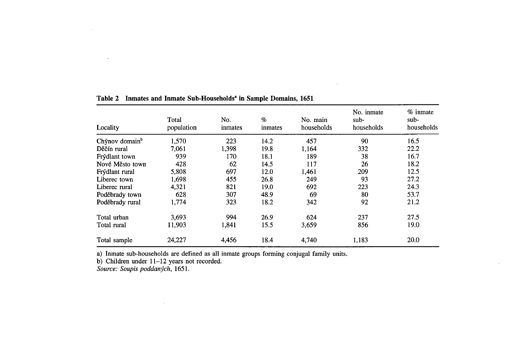| Locality                   | Total<br>population | No.<br>inmates | $\%$<br>inmates | No. main<br>households | No. inmate<br>sub-<br>households | % inmate<br>$sub-$<br>households |
|----------------------------|---------------------|----------------|-----------------|------------------------|----------------------------------|----------------------------------|
| Chýnov domain <sup>b</sup> | 1,570               | 223            | 14.2            | 457                    | 90                               | 16.5                             |
| Děčín rural                | 7,061               | 1.398          | 19.8            | 1.164                  | 332                              | 22.2                             |
| Frýdlant town              | 939                 | 170            | 18.1            | 189                    | 38                               | 16.7                             |
| Nové Město town            | 428                 | 62             | 14.5            | 117                    | 26                               | 18.2                             |
| Frýdlant rural             | 5,808               | 697            | 12.0            | 1,461                  | 209                              | 12.5                             |
| Liberec town               | 1,698               | 455            | 26.8            | 249                    | 93                               | 27.2                             |
| Liberec rural              | 4,321               | 821            | 19.0            | 692                    | 223                              | 24.3                             |
| Poděbrady town             | 628                 | 307            | 48.9            | 69                     | 80                               | 53.7                             |
| Poděbrady rural            | 1,774               | 323            | 18.2            | 342                    | 92                               | 21.2                             |
| Total urban                | 3.693               | 994            | 26.9            | 624                    | 237                              | 27.5                             |
| Total rural                | 11.903              | 1,841          | 15.5            | 3,659                  | 856                              | 19.0                             |
| Total sample               | 24,227              | 4,456          | 18.4            | 4,740                  | 1,183                            | 20.0                             |

 $\sim 100$  km s  $^{-1}$ 

## **Table 2 Inmates and Inmate Sub-Households' in Sample Domains, 1651**

a) Inmate sub-households are defined as all inmate groups forming conjugal family units.

b) Children under 11-12 years not recorded.

 $\sim 10^7$ 

*Source: Soupis poddanych, 1651.*

 $\ddot{\phantom{a}}$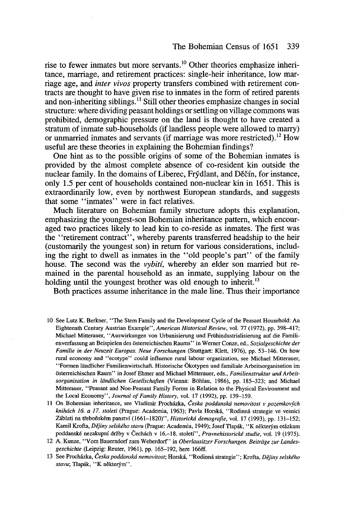rise to fewer inmates but more servants.<sup>10</sup> Other theories emphasize inheritance, marriage, and retirement practices: single-heir inheritance, 10w marriage age, and *inter vivas* property transfers combined with retirement contracts are thought to have given rise to inmates in the form of retired parents and non-inheriting siblings.<sup>11</sup> Still other theories emphasize changes in social structure: where dividing peasant holdings or settling on village commons was prohibited, demographic pressure on the land is thought to have created a stratum of inmate sub-households (if landless people were allowed to marry) or unmarried inmates and servants (if marriage was more restricted).<sup>12</sup> How useful are these theories in explaining the Bohemian findings?

One hint as to the possible origins of sorne of the Bohemian inmates is provided by the almost complete absence of co-resident kin outside the nuclear family. In the domains of Liberec, Frýdlant, and Děčín, for instance, only 1.5 per cent of households contained non-nuclear kin in 1651. This is extraordinarily low, even by northwest European standards, and suggests that sorne "inmates" were in fact relatives.

Much literature on Bohemian family structure adopts this explanation, emphasizing the youngest-son Bohemian inheritance pattern, which encouraged two practices likely to lead kin to co-reside as inmates. The first was the "retirement contract", whereby parents transferred headship to the heir (customarily the youngest son) in return for various considerations, including the right to dwell as inmates in the "old people's part" of the family house. The second was the *vybiti,* whereby an eIder son married but remained in the parental household as an inmate, supplying labour on the holding until the youngest brother was old enough to inherit.<sup>13</sup>

Both practices assume inheritance in the male line. Thus their importance

- 10 See Lutz K. Berkner, "The Stem Family and the Development Cycle of the Peasant Household: An Eighteenth Century Austrian Example", *American Historical Review,* vol. 77 (1972), pp. 398-417; Michael Mitterauer, "Auswirkungen von Urbanisierung und Frühindustrialisierung auf die Familienverfassung an Beispielen des éisterreichischen Raums" in Werner Conze, ed., *Sozialgeschichte der Familie in der Neuzeit Europas. Neue Forschungen* (Stuttgart: Klett, 1976), pp. 53-146. On how rural economy and "ecotype" could influence rural labour organization, see Michael Mitterauer, "Formen liindlicher Familienwirtschaft. Historische Okotypen und familiale Arbeitsorganisation im österreichischen Raum" in Josef Ehmer and Michael Mitterauer, eds., *Familienstruktur und Arbeitsorganisation in liindlichen Gesellschaften* (Vienna: Béihlau, 1986), pp. 185-323; and Michael Mitterauer, "Peasant and Non-Peasant Family Forrns in Relation to the Physical Environment and the Local Economy", *Journal of Family History,* vol. 17 (1992), pp. 139-159.
- liOn Bohemian inheritance, see Vladimir Prochâzka, *Ceska poddanskâ nemovitost v pozemkovjch kniluich* 16. *a* 17. *stoleti* (Prague: Academia, 1963); Pavla Horskâ, "Rodinnâ strategie ve vesnici Záblati na třeboňském panství (1661–1820)", *Historická demografie*, vol. 17 (1993), pp. 131–152; Kami! Krofta, *Déjiny selského stavu* (Prague: Academia, 1949); Josef Tlapâk, "K nekterym otâzkam poddanské nezakupní držby v Čechách v 16.–18. století", Pravnehistorické studie, vol. 19 (1975).
- 12 A. Kunze, "Vom Bauerndorf zum Weberdorf" in *Oberlausitzer Forschungen. Beiträge zur Landesgeschichte* (Leipzig: Reuter, 1961), pp. 165-192, here 166ff.
- 13 See Prochâzka, *Ceska poddanskâ nemovitost;* Horskâ, "Rodinnâ strategie"; Krofta, *Déjiny selského* stavu; Tlapák, "K některým".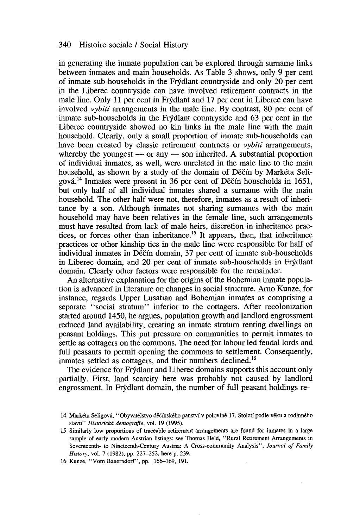in generating the inmate population can be explored through surname links between inmates and main households. As Table 3 shows, only 9 per cent of inmate sub-households in the Frydlant countryside and only 20 per cent in the Liberec countryside can have involved retirement contracts in the male line. Only Il per cent in Frydlant and 17 per cent in Liberec can have involved *vybiti* arrangements in the male line. By contrast, 80 per cent of inmate sub-households in the Frydlant countryside and 63 per cent in the Liberec countryside showed no kin links in the male line with the main household. Clearly, only a small proportion of inmate sub-households can have been created by classic retirement contracts or *vybiti* arrangements, whereby the youngest  $-$  or any  $-$  son inherited. A substantial proportion of individual inmates, as well, were unrelated in the male line to the main household, as shown by a study of the domain of Děčín by Markéta Seligová.<sup>14</sup> Inmates were present in 36 per cent of Děčín households in 1651, but only half of all individual inmates shared a surname with the main household. The other half were not, therefore, inmates as a result of inheritance by a son. Although inmates not sharing surnames with the main household may have been relatives in the female line, such arrangements must have resulted from lack of male heirs, discretion in inheritance practices, or forces other than inheritance.<sup>15</sup> It appears, then, that inheritance practices or other kinship ties in the male line were responsible for half of individual inmates in Děčín domain, 37 per cent of inmate sub-households in Liberec domain, and 20 per cent of inmate sub-households in Frydlant domain. Clearly other factors were responsible for the remainder.

An alternative explanation for the origins of the Bohemian inmate population is advanced in literature on changes in social structure. Arno Kunze, for instance, regards Upper Lusatian and Bohemian inmates as comprising a separate "social stratum" inferior to the cottagers. After recolonization started around 1450, he argues, population growth and landlord engrossment reduced land availability, creating an inmate stratum renting dwellings on peasant holdings. This put pressure on communities to permit inmates to settle as cottagers on the commons. The need for labour led feudal lords and full peasants to permit opening the commons to settlement. Consequently, inmates settled as cottagers, and their numbers declined.<sup>16</sup>

The evidence for Frydlant and Liberec domains supports this account only partially. First, land scarcity here was probably not caused by landlord engrossment. In Frydlant domain, the number of full peasant holdings re-

16 Kunze, "Vom Bauerndorf', pp. 166-169, 191.

<sup>14</sup> Markéta Seligova, "Obyvatelstvo decfnského panstvf v polovine 17. Stoletf podle veku a rodinného stavu" *Historickti demografie,* vol. 19 (1995).

<sup>15</sup> Similarly low proportions of traceable retirement arrangements are found for inmates in a large sample of early modern Austrian listings: see Thomas Held, "Rural Retirement Arrangements in Seventeenth- to Nineteenth-Century Austria: A Cross-community Analysis", *Journal of Family History,* vol. 7 (1982), pp. 227-252, here p. 239.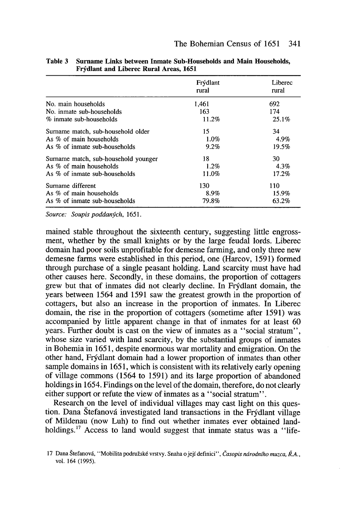|                                      | Frýdlant<br>rural | Liberec<br>rural |
|--------------------------------------|-------------------|------------------|
| No. main households                  | 1,461             | 692              |
| No. inmate sub-households            | 163               | 174              |
| % inmate sub-households              | 11.2%             | 25.1%            |
| Surname match, sub-household older   | 15                | 34               |
| As % of main households              | 1.0%              | 4.9%             |
| As % of inmate sub-households        | 9.2%              | 19.5%            |
| Surname match, sub-household younger | 18                | 30               |
| As % of main households              | $1.2\%$           | 4.3%             |
| As % of inmate sub-households        | 11.0%             | 17.2%            |
| Surname different                    | 130               | 110              |
| As $\%$ of main households           | 8.9%              | 15.9%            |
| As % of inmate sub-households        | 79.8%             | 63.2%            |

Table 3 Surname Links between Inmate Sub-Households and Main Households, Frydlant and Liberec Rural Areas, 1651

*Source: Soupis poddanych, 1651.*

mained stable throughout the sixteenth century, suggesting little engrossment, whether by the small knights or by the large feudal lords. Liberec domain had poor soils unprofitable for demesne farming, and only three new demesne farms were established in this period, one (Harcov, 1591) formed through purchase of a single peasant holding. Land scarcity must have had other causes here. Secondly, in these domains, the proportion of cottagers grew but that of inmates did not clearly decline. In Frydlant domain, the years between 1564 and 1591 saw the greatest growth in the proportion of cottagers, but also an increase in the proportion of inmates. In Liberec domain, the rise in the proportion of cottagers (sometime after 1591) was accompanied by litde apparent change in that of inmates for at least 60 years. Further doubt is cast on the view of inmates as a "social stratum", whose size varied with land scarcity, by the substantial groups of inmates in Bohemia in 1651, despite enormous war mortality and emigration. On the other hand, Frydlant domain had a lower proportion of inmates than other sample domains in 1651, which is consistent with its relatively early opening of village commons (1564 to 1591) and its large proportion of abandoned holdings in 1654. Findings on the level of the domain, therefore, do not clearly either support or refute the view of inmates as a "social stratum".

Research on the level of individual villages may cast light on this question. Dana Štefanová investigated land transactions in the Frýdlant village of Mildenau (now Luh) to find out whether inmates ever obtained landholdings.<sup>17</sup> Access to land would suggest that inmate status was a "life-

<sup>17</sup> Dana Stefanovâ, "Mobi1ita podruzské vrstvy. Snaha <sup>0</sup> jejf definici", *Casopis ruirodniho muzca, R.A.,* vol. 164 (1995).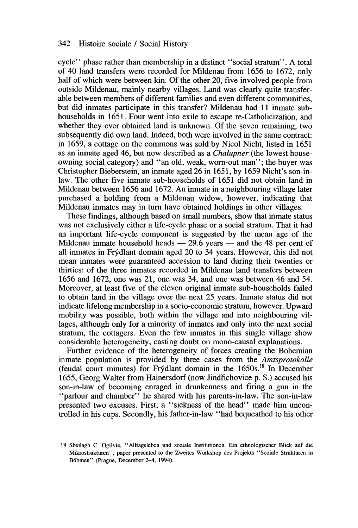cycle" phase rather than membership in a distinct "social stratum". A total of 40 land transfers were recorded for Mildenau from 1656 to 1672, only half of which were between kin. Of the other 20, five involved people from outside Mildenau, mainly nearby villages. Land was clearly quite transferable between members of different families and even different communities, but did inmates participate in this transfer? Mildenau had Il inmate subhouseholds in 1651. Four went into exile to escape re-Catholicization, and whether they ever obtained land is unknown. Of the seven remaining, two subsequently did own land. Indeed, both were involved in the same contract: in 1659, a cottage on the commons was sold by Nicol Nicht, listed in 1651 as an inmate aged 46, but now described as a *Chalupner* (the lowest houseowning social category) and "an old, weak, worn-out man"; the buyer was Christopher Bieberstein, an inmate aged 26 in 1651, by 1659 Nicht's son-inlaw. The other five inmate sub-households of 1651 did not obtain land in Mildenau between 1656 and 1672. An inmate in a neighbouring village later purchased a holding from a Mildenau widow, however, indicating that Mildenau inmates may in tum have obtained holdings in other villages.

These findings, although based on small numbers, show that inmate status was not exclusively either a life-cycle phase or a social stratum. That it had an important life-cycle component is suggested by the mean age of the Mildenau inmate household heads  $-29.6$  years  $-$  and the 48 per cent of aIl inmates in Frydlant domain aged 20 to 34 years. However, this did not mean inmates were guaranteed accession to land during their twenties or thirties: of the three inmates recorded in Mildenau land transfers between 1656 and 1672, one was 21, one was 34, and one was between 46 and 54. Moreover, at least five of the eleven original inmate sub-households failed to obtain land in the village over the next 25 years. Inmate status did not indicate lifelong membership in a socio-economic stratum, however. Upward mobility was possible, both within the village and into neighbouring villages, although only for a minority of inmates and only into the next social stratum, the cottagers. Even the few inmates in this single village show considerable heterogeneity, casting doubt on mono-causal explanations.

Further evidence of the heterogeneity of forces creating the Bohemian inmate population is provided by three cases from the *Amtsprotokolle* (feudal court minutes) for Frydlant domain in the 1650s.1<sup>8</sup> In December 1655, Georg Walter from Hainersdorf (now Jindřichovice p. S.) accused his son-in-Iaw of becoming enraged in drunkenness and firing a gun in the "parlour and chamber" he shared with his parents-in-Iaw. The son-in-Iaw presented two excuses. First, a "sickness of the head" made him uncontrolled in his cups. Secondly, his father-in-Iaw "had bequeathed to his other

<sup>18</sup> Sheilagh C. Ogilvie, "Alltagsleben und soziale Institutionen. Ein ethnologischer Blick auf die Mikrostrukturen", paper presented to the Zweites Workshop des Projekts "Soziale Strukturen in Bôhmen" (Prague, December 2-4, 1994).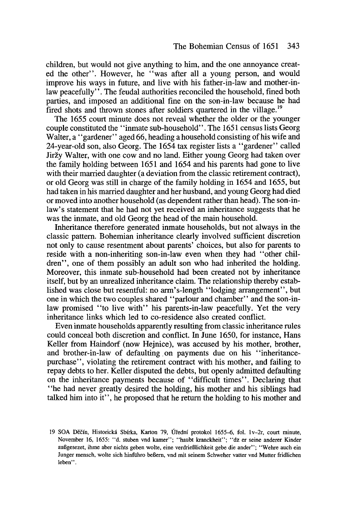children, but would not give anything to him, and the one annoyance created the other". However, he "was after all a young person, and wou1d improve his ways in future, and live with his father-in-Iaw and mother-inlaw peacefully". The feudal authorities reconciled the household, fined both parties, and imposed an additional fine on the son-in-Iaw because he had fired shots and thrown stones after soldiers quartered in the village.<sup>19</sup>

The 1655 court minute does not reveal whether the older or the younger couple constituted the "inmate sub-household". The 1651 census lists Georg Walter, a "gardener" aged 66, heading a household consisting of his wife and 24-year-old son, also Georg. The 1654 tax register lists a "gardener" called Jirzy Walter, with one cow and no land. Either young Georg had taken over the family holding between 1651 and 1654 and his parents had gone to live with their married daughter (a deviation from the classic retirement contract), or old Georg was still in charge of the family holding in 1654 and 1655, but had taken in his married daughter and her husband, and young Georg had died or moved into another household (as dependent rather than head). The son-inlaw's statement that he had not yet received an inheritance suggests that he was the inmate, and old Georg the head of the main household.

Inheritance therefore generated inmate households, but not always in the classic pattern. Bohemian inheritance clearly involved sufficient discretion not only to cause resentment about parents' choices, but also for parents to reside with a non-inheriting son-in-Iaw even when they had "other children", one of them possibly an adult son who had inherited the holding. Moreover, this inmate sub-household had been created not by inheritance itself, but by an unrealized inheritance claim. The relationship thereby established was close but resentful: no arm's-length "lodging arrangement", but one in which the two couples shared "parlour and chamber" and the son-inlaw promised "to live with" his parents-in-Iaw peacefully. Yet the very inheritance links which led to co-residence also created conflict.

Even inmate households apparently resulting from classic inheritance mIes could conceal both discretion and conflict. In June 1650, for instance, Hans Keller from Haindorf (now Hejnice), was accused by his mother, brother, and brother-in-Iaw of defaulting. on payments due on his "inheritancepurchase", violating the retirement contract with his mother, and failing to repay debts to her. Keller disputed the debts, but openly admitted defaulting on the inheritance payments because of "difficult times". Declaring that "he had never greatly desired the holding, his mother and his siblings had talked him into it", he proposed that he return the holding to his mother and

<sup>19</sup> SOA Oecfn, Historickâ Sbfrka, Karton 79, Ûrednf protokol 1655-6, fol. 1v-2r, court minute, November 16, 1655: "d. stuben vnd kamer"; "haubt kranckheit"; "dz er seine anderer Kinder auBgesezet, ihme aber nichts geben wolle, eine verdrieBlichkeit gebe die ander"; "Wehre auch ein Junger mensch, wolte sich hinführo beBem, vnd mit seinem Schweher vatter vnd Mutter fridlichen leben" .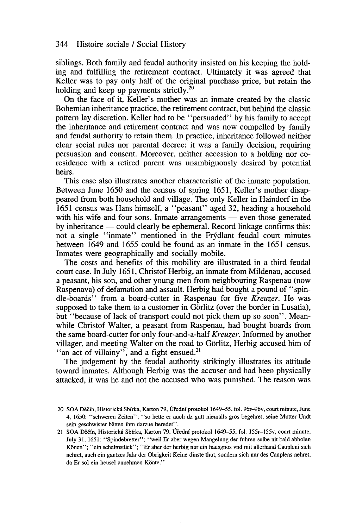siblings. Both family and feudal authority insisted on his keeping the holding and fulfilling the retirement contract. Ultimately it was agreed that Keller was to pay only half of the original purchase price, but retain the holding and keep up payments strictly.<sup>20</sup>

On the face of it, Keller's mother was an inmate created by the classic Bohemian inheritance practice, the retirement contract, but behind the classic pattern lay discretion. Keller had to be "persuaded" by his family to accept the inheritanee and retirement contract and was now compelled by family and feudal authority to retain them. **In** practice, inheritanee followed neither clear social mIes nor parental decree: it was a family decision, requiring persuasion and consent. Moreover, neither accession to a holding nor coresidence with a retired parent was unambiguously desired by potential heirs.

This case also illustrates another characteristic of the inmate population. Between June 1650 and the census of spring 1651, Keller's mother disappeared from both household and village. The only Keller in Haindorf in the 1651 census was Hans himself, a "peasant" aged 32, heading a household with his wife and four sons. Inmate arrangements  $-$  even those generated by inheritance — could clearly be ephemeral. Record linkage confirms this: not a single "inmate" mentioned in the Frydlant feudal court minutes between 1649 and 1655 could be found as an inmate in the 1651 eensus. Inmates were geographically and socially mobile.

The costs and benefits of this mobility are illustrated in a third feudal court case. **In** July 1651, Christof Herbig, an inmate from Mildenau, accused a peasant, his son, and other young men from neighbouring Raspenau (now Raspenava) of defamation and assault. Herbig had bought a pound of "spindIe-boards" from a board-cutter in Raspenau for five *Kreuzer.* He was supposed to take them to a customer in Görlitz (over the border in Lusatia), but "because of lack of transport could not pick them up so soon". Meanwhile Christof Walter, a peasant from Raspenau, had bought boards from the same board-cutter for only four-and-a-half *Kreuzer.* Informed by another villager, and meeting Walter on the road to Gorlitz, Herbig accused him of "an act of villainy", and a fight ensued.<sup>21</sup>

The judgement by the feudal authority strikingly illustrates its attitude toward inmates. Although Herbig was the accuser and had been physically attacked, it was he and not the accused who was punished. The reason was

<sup>20</sup> SOA Decfn. Hislorickâ Sbfrka, Karton 79, Ûi'ednf protokol 1649-55, fol. 96r-96v, court minute, June 4, 1650: "schweren Zeiten"; "so hette er auch dz gutt niemalls gros begehret, seine Mutter Undt sein geschwister hatten ihm darzue beredet".

<sup>21</sup> SOA Decfn, Historickâ Sbfrka, Karton 79, Ûi'ednf protokol 1649-55, fol. 155r-155v, court minute, July 31, 1651: "Spindebretter"; "weil Er aber wegen Mangelung der fuhren selbe nit bald abholen Konen"; "ein schelmstück"; "Er aber der herbig nur ein hausgnos vnd mit allerhand Caupleni sich nehret, auch ein gantzes Jahr der Obrigkeit Keine dinste thut, sondem sich nur des Cauplens nehret, da Er sol ein heusel annehmen Könte."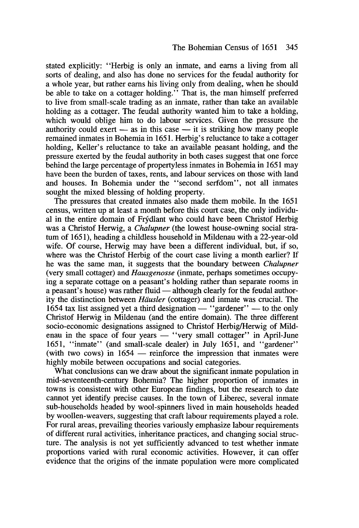stated explicitly: "Herbig is only an inmate, and earns a living from aIl sorts of dealing, and also has done no services for the feudal authority for a whole year, but rather earns his living only from dealing, when he should be able to take on a cottager holding." That is, the man himself preferred to live from small-scale trading as an inmate, rather than take an available holding as a cottager. The feudal authority wanted him to take a holding, which would oblige him to do labour services. Given the pressure the authority could exert  $-$  as in this case  $-$  it is striking how many people remained inmates in Bohemia in 1651. Herbig's reluctance to take a cottager holding, Keller's reluctance to take an available peasant holding, and the pressure exerted by the feudal authority in both cases suggest that one force behind the large percentage of propertyless inmates in Bohemia in 1651 may have been the burden of taxes, rents, and labour services on those with land and houses. In Bohemia under the "second serfdom", not aIl inmates sought the mixed blessing of holding property.

The pressures that created inmates also made them mobile. In the 1651 census, written up at least a month before this court case, the only individual in the entire domain of Frydlant who could have been Christof Herbig was a Christof Herwig, a *Chalupner* (the lowest house-owning social stratum of 1651), heading a childless household in Mildenau with a 22-year-old wife. Of course, Herwig may have been a different individual, but, if so, where was the Christof Herbig of the court case living a month earlier? If he was the same man, it suggests that the boundary between *Chalupner* (very small cottager) and *Hausgenosse* (inmate, perhaps sometimes occupying a separate cottage on a peasant's holding rather than separate rooms in a peasant's house) was rather fluid — although clearly for the feudal authority the distinction between *Hiiusler* (cottager) and inmate was crucial. The 1654 tax list assigned yet a third designation  $-$  "gardener"  $-$  to the only Christof Herwig in Mildenau (and the entire domain). The three different socio-economic designations assigned to Christof Herbig/Herwig of Mildenau in the space of four years — "very small cottager" in April-June 1651, "inmate" (and small-scale dealer) in July 1651, and "gardener" (with two cows) in  $1654$  — reinforce the impression that inmates were highly mobile between occupations and social categories.

What conclusions can we draw about the significant inmate population in mid-seventeenth-century Bohemia? The higher proportion of inmates in towns is consistent with other European findings, but the research to date cannot yet identify precise causes. In the town of Liberec, several inmate sub-households headed by wool-spinners lived in main households headed by woollen-weavers, suggesting that craft labour requirements played a role. For rural areas, prevailing theories variously emphasize labour requirements of different rural activities, inheritance practices, and changing social structure. The analysis is not yet sufficiently advanced to test whether inmate proportions varied with rural economic activities. However, it can offer evidence that the origins of the inmate population were more complicated